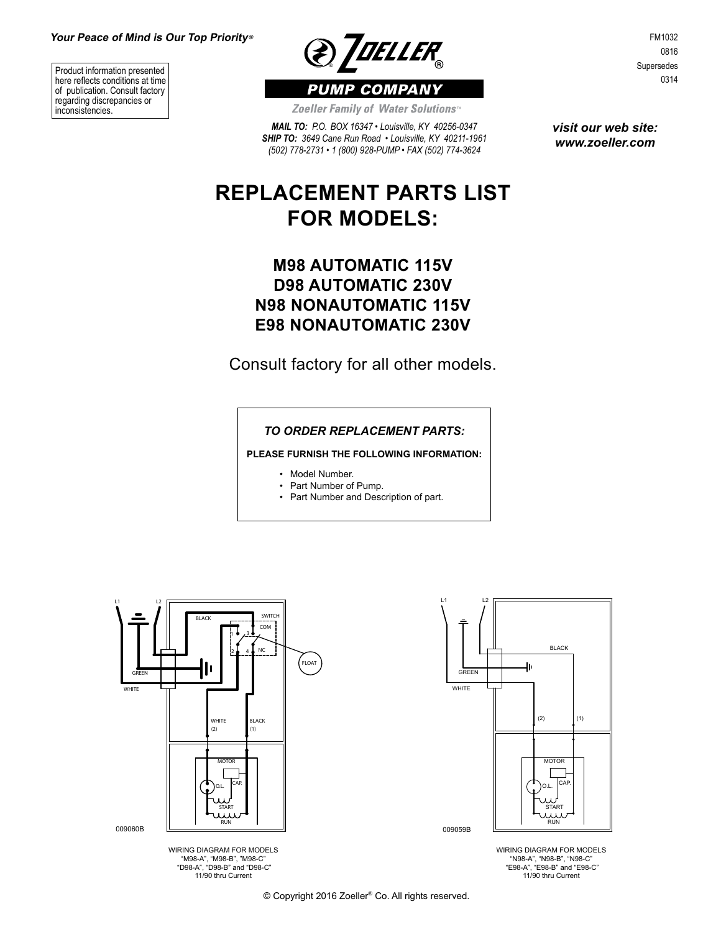Product information presented here reflects conditions at time of publication. Consult factory regarding discrepancies or inconsistencies.



FM1032 0816 Supersedes 0314

Zoeller Family of Water Solutions<sup>®</sup>

*MAIL TO: P.O. BOX 16347 • Louisville, KY 40256-0347 SHIP TO: 3649 Cane Run Road • Louisville, KY 40211-1961 (502) 778-2731 • 1 (800) 928-PUMP • FAX (502) 774-3624*

*visit our web site: www.zoeller.com*

# **REPLACEMENT PARTS LIST FOR MODELS:**

## **M98 AUTOMATIC 115V D98 AUTOMATIC 230V N98 NONAUTOMATIC 115V E98 NONAUTOMATIC 230V**

Consult factory for all other models.

#### *TO ORDER REPLACEMENT PARTS:*

**PLEASE FURNISH THE FOLLOWING INFORMATION:**

- Model Number.
- Part Number of Pump.
- Part Number and Description of part.







WIRING DIAGRAM FOR MODELS "N98-A", "N98-B", "N98-C" "E98-A", "E98-B" and "E98-C" 11/90 thru Current

© Copyright 2016 Zoeller® Co. All rights reserved.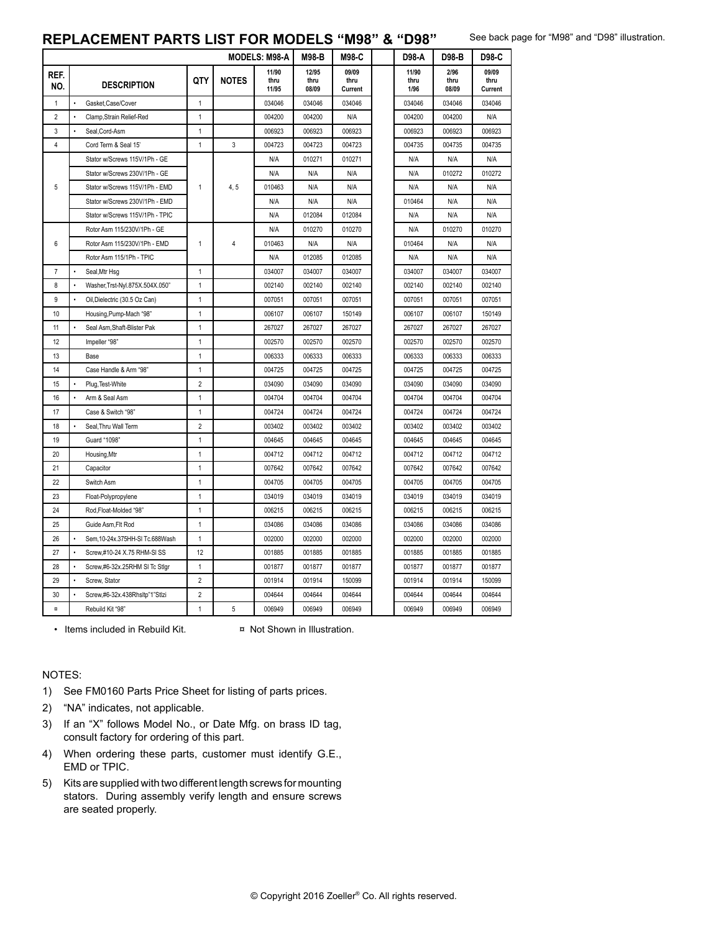#### **REPLACEMENT PARTS LIST FOR MODELS "M98" & "D98"**

See back page for "M98" and "D98" illustration.

| REF.<br>NO.             | <b>DESCRIPTION</b>                          |                |              | 11/90         |                        |                          | 11/90        | 2/96          |                          |
|-------------------------|---------------------------------------------|----------------|--------------|---------------|------------------------|--------------------------|--------------|---------------|--------------------------|
|                         |                                             | QTY            | <b>NOTES</b> | thru<br>11/95 | 12/95<br>thru<br>08/09 | 09/09<br>thru<br>Current | thru<br>1/96 | thru<br>08/09 | 09/09<br>thru<br>Current |
| 1                       | Gasket, Case/Cover<br>$\bullet$             | $\mathbf{1}$   |              | 034046        | 034046                 | 034046                   | 034046       | 034046        | 034046                   |
| $\overline{2}$          | Clamp, Strain Relief-Red<br>$\bullet$       | 1              |              | 004200        | 004200                 | N/A                      | 004200       | 004200        | N/A                      |
| 3                       | $\bullet$<br>Seal, Cord-Asm                 | $\mathbf{1}$   |              | 006923        | 006923                 | 006923                   | 006923       | 006923        | 006923                   |
| 4                       | Cord Term & Seal 15'                        | 1              | 3            | 004723        | 004723                 | 004723                   | 004735       | 004735        | 004735                   |
|                         | Stator w/Screws 115V/1Ph - GE               |                |              | N/A           | 010271                 | 010271                   | N/A          | N/A           | N/A                      |
|                         | Stator w/Screws 230V/1Ph - GE               |                |              | N/A           | N/A                    | N/A                      | N/A          | 010272        | 010272                   |
| 5                       | Stator w/Screws 115V/1Ph - EMD              | 1              | 4, 5         | 010463        | N/A                    | N/A                      | N/A          | N/A           | N/A                      |
|                         | Stator w/Screws 230V/1Ph - EMD              |                |              | N/A           | N/A                    | N/A                      | 010464       | N/A           | N/A                      |
|                         | Stator w/Screws 115V/1Ph - TPIC             |                |              | N/A           | 012084                 | 012084                   | N/A          | N/A           | N/A                      |
|                         | Rotor Asm 115/230V/1Ph - GE                 |                |              | N/A           | 010270                 | 010270                   | N/A          | 010270        | 010270                   |
| 6                       | Rotor Asm 115/230V/1Ph - EMD                | 1              | 4            | 010463        | N/A                    | N/A                      | 010464       | N/A           | N/A                      |
|                         | Rotor Asm 115/1Ph - TPIC                    |                |              | N/A           | 012085                 | 012085                   | N/A          | N/A           | N/A                      |
| $\overline{7}$          | $\bullet$<br>Seal, Mtr Hsg                  | $\mathbf{1}$   |              | 034007        | 034007                 | 034007                   | 034007       | 034007        | 034007                   |
| 8                       | Washer, Trst-Nyl.875X.504X.050"             | 1              |              | 002140        | 002140                 | 002140                   | 002140       | 002140        | 002140                   |
| 9                       | Oil, Dielectric (30.5 Oz Can)<br>$\bullet$  | 1              |              | 007051        | 007051                 | 007051                   | 007051       | 007051        | 007051                   |
| 10                      | Housing, Pump-Mach "98"                     | $\mathbf{1}$   |              | 006107        | 006107                 | 150149                   | 006107       | 006107        | 150149                   |
| 11                      | Seal Asm, Shaft-Blister Pak                 | $\mathbf{1}$   |              | 267027        | 267027                 | 267027                   | 267027       | 267027        | 267027                   |
| 12                      | Impeller "98"                               | 1              |              | 002570        | 002570                 | 002570                   | 002570       | 002570        | 002570                   |
| 13                      | Base                                        | $\mathbf{1}$   |              | 006333        | 006333                 | 006333                   | 006333       | 006333        | 006333                   |
| 14                      | Case Handle & Arm "98"                      | 1              |              | 004725        | 004725                 | 004725                   | 004725       | 004725        | 004725                   |
| 15                      | Plug, Test-White                            | $\overline{2}$ |              | 034090        | 034090                 | 034090                   | 034090       | 034090        | 034090                   |
| 16                      | $\bullet$<br>Arm & Seal Asm                 | 1              |              | 004704        | 004704                 | 004704                   | 004704       | 004704        | 004704                   |
| 17                      | Case & Switch "98"                          | $\mathbf{1}$   |              | 004724        | 004724                 | 004724                   | 004724       | 004724        | 004724                   |
| 18                      | Seal, Thru Wall Term                        | $\overline{2}$ |              | 003402        | 003402                 | 003402                   | 003402       | 003402        | 003402                   |
| 19                      | Guard "1098"                                | 1              |              | 004645        | 004645                 | 004645                   | 004645       | 004645        | 004645                   |
| 20                      | Housing, Mtr                                | $\mathbf{1}$   |              | 004712        | 004712                 | 004712                   | 004712       | 004712        | 004712                   |
| 21                      | Capacitor                                   | $\mathbf{1}$   |              | 007642        | 007642                 | 007642                   | 007642       | 007642        | 007642                   |
| 22                      | Switch Asm                                  | 1              |              | 004705        | 004705                 | 004705                   | 004705       | 004705        | 004705                   |
| 23                      | Float-Polypropylene                         | 1              |              | 034019        | 034019                 | 034019                   | 034019       | 034019        | 034019                   |
| 24                      | Rod, Float-Molded "98"                      | 1              |              | 006215        | 006215                 | 006215                   | 006215       | 006215        | 006215                   |
| 25                      | Guide Asm, Flt Rod                          | 1              |              | 034086        | 034086                 | 034086                   | 034086       | 034086        | 034086                   |
| 26                      | Sem, 10-24x.375HH-SI Tc.688Wash             | $\mathbf{1}$   |              | 002000        | 002000                 | 002000                   | 002000       | 002000        | 002000                   |
| 27                      | Screw,#10-24 X.75 RHM-SI SS                 | 12             |              | 001885        | 001885                 | 001885                   | 001885       | 001885        | 001885                   |
| 28                      | Screw,#6-32x.25RHM SI Tc Stlgr<br>$\bullet$ | 1              |              | 001877        | 001877                 | 001877                   | 001877       | 001877        | 001877                   |
| 29                      | $\bullet$<br>Screw, Stator                  | $\overline{2}$ |              | 001914        | 001914                 | 150099                   | 001914       | 001914        | 150099                   |
| 30                      | Screw,#6-32x.438Rhsltp"1"Stlzi              | $\overline{2}$ |              | 004644        | 004644                 | 004644                   | 004644       | 004644        | 004644                   |
| $\overline{\mathtt{u}}$ | Rebuild Kit "98"                            | $\mathbf{1}$   | 5            | 006949        | 006949                 | 006949                   | 006949       | 006949        | 006949                   |

• Items included in Rebuild Kit. <br> **x** Not Shown in Illustration.

NOTES:

- 1) See FM0160 Parts Price Sheet for listing of parts prices.
- 2) "NA" indicates, not applicable.
- 3) If an "X" follows Model No., or Date Mfg. on brass ID tag, consult factory for ordering of this part.
- 4) When ordering these parts, customer must identify G.E., EMD or TPIC.
- 5) Kits are supplied with two different length screws for mounting stators. During assembly verify length and ensure screws are seated properly.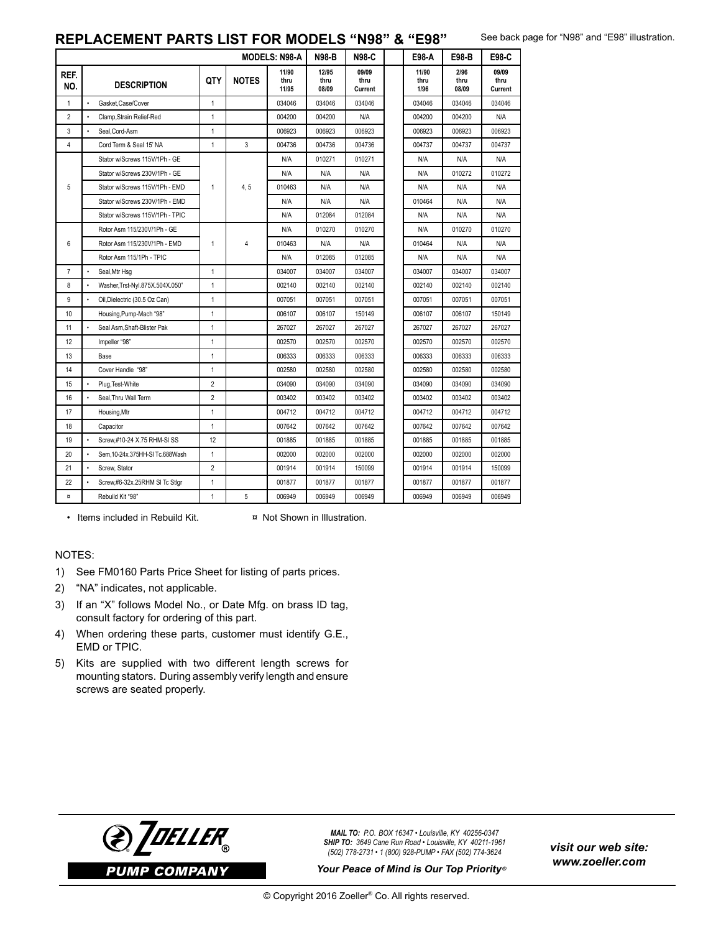### **REPLACEMENT PARTS LIST FOR MODELS "N98" & "E98"**

See back page for "N98" and "E98" illustration.

| <b>MODELS: N98-A</b>    |                                             |                |              |                        | <b>N98-B</b>           | <b>N98-C</b>             | E98 A                 | E98-B                 | E98-C                    |
|-------------------------|---------------------------------------------|----------------|--------------|------------------------|------------------------|--------------------------|-----------------------|-----------------------|--------------------------|
| REF.<br>NO.             | <b>DESCRIPTION</b>                          | <b>QTY</b>     | <b>NOTES</b> | 11/90<br>thru<br>11/95 | 12/95<br>thru<br>08/09 | 09/09<br>thru<br>Current | 11/90<br>thru<br>1/96 | 2/96<br>thru<br>08/09 | 09/09<br>thru<br>Current |
| $\mathbf{1}$            | $\cdot$<br>Gasket.Case/Cover                | $\mathbf{1}$   |              | 034046                 | 034046                 | 034046                   | 034046                | 034046                | 034046                   |
| $\overline{2}$          | $\bullet$<br>Clamp.Strain Relief-Red        | $\mathbf{1}$   |              | 004200                 | 004200                 | N/A                      | 004200                | 004200                | N/A                      |
| 3                       | Seal, Cord-Asm<br>$\cdot$                   | $\mathbf{1}$   |              | 006923                 | 006923                 | 006923                   | 006923                | 006923                | 006923                   |
| $\overline{4}$          | Cord Term & Seal 15' NA                     | $\mathbf{1}$   | 3            | 004736                 | 004736                 | 004736                   | 004737                | 004737                | 004737                   |
| 5                       | Stator w/Screws 115V/1Ph - GE               |                |              | N/A                    | 010271                 | 010271                   | N/A                   | N/A                   | N/A                      |
|                         | Stator w/Screws 230V/1Ph - GE               |                |              | N/A                    | N/A                    | N/A                      | N/A                   | 010272                | 010272                   |
|                         | Stator w/Screws 115V/1Ph - EMD              | 1              | 4, 5         | 010463                 | N/A                    | N/A                      | N/A                   | N/A                   | N/A                      |
|                         | Stator w/Screws 230V/1Ph - EMD              |                |              | N/A                    | N/A                    | N/A                      | 010464                | N/A                   | N/A                      |
|                         | Stator w/Screws 115V/1Ph - TPIC             |                |              | N/A                    | 012084                 | 012084                   | N/A                   | N/A                   | N/A                      |
|                         | Rotor Asm 115/230V/1Ph - GE                 | 1              | 4            | N/A                    | 010270                 | 010270                   | N/A                   | 010270                | 010270                   |
| 6                       | Rotor Asm 115/230V/1Ph - EMD                |                |              | 010463                 | N/A                    | N/A                      | 010464                | N/A                   | N/A                      |
|                         | Rotor Asm 115/1Ph - TPIC                    |                |              | N/A                    | 012085                 | 012085                   | N/A                   | N/A                   | N/A                      |
| $\overline{7}$          | $\cdot$<br>Seal, Mtr Hsg                    | 1              |              | 034007                 | 034007                 | 034007                   | 034007                | 034007                | 034007                   |
| 8                       | $\cdot$<br>Washer, Trst-Nyl.875X.504X.050"  | $\mathbf{1}$   |              | 002140                 | 002140                 | 002140                   | 002140                | 002140                | 002140                   |
| 9                       | $\bullet$<br>Oil, Dielectric (30.5 Oz Can)  | $\mathbf{1}$   |              | 007051                 | 007051                 | 007051                   | 007051                | 007051                | 007051                   |
| 10                      | Housing, Pump-Mach "98"                     | $\mathbf{1}$   |              | 006107                 | 006107                 | 150149                   | 006107                | 006107                | 150149                   |
| 11                      | $\bullet$<br>Seal Asm, Shaft-Blister Pak    | $\mathbf{1}$   |              | 267027                 | 267027                 | 267027                   | 267027                | 267027                | 267027                   |
| 12                      | Impeller "98"                               | $\mathbf{1}$   |              | 002570                 | 002570                 | 002570                   | 002570                | 002570                | 002570                   |
| 13                      | Base                                        | $\mathbf{1}$   |              | 006333                 | 006333                 | 006333                   | 006333                | 006333                | 006333                   |
| 14                      | Cover Handle "98"                           | $\mathbf{1}$   |              | 002580                 | 002580                 | 002580                   | 002580                | 002580                | 002580                   |
| 15                      | Plug, Test-White                            | $\overline{2}$ |              | 034090                 | 034090                 | 034090                   | 034090                | 034090                | 034090                   |
| 16                      | Seal, Thru Wall Term                        | $\overline{2}$ |              | 003402                 | 003402                 | 003402                   | 003402                | 003402                | 003402                   |
| 17                      | Housing, Mtr                                | 1              |              | 004712                 | 004712                 | 004712                   | 004712                | 004712                | 004712                   |
| 18                      | Capacitor                                   | $\mathbf{1}$   |              | 007642                 | 007642                 | 007642                   | 007642                | 007642                | 007642                   |
| 19                      | Screw.#10-24 X.75 RHM-SI SS                 | 12             |              | 001885                 | 001885                 | 001885                   | 001885                | 001885                | 001885                   |
| 20                      | Sem, 10-24x.375HH-SI Tc.688Wash             | 1              |              | 002000                 | 002000                 | 002000                   | 002000                | 002000                | 002000                   |
| 21                      | $\cdot$<br>Screw. Stator                    | $\overline{2}$ |              | 001914                 | 001914                 | 150099                   | 001914                | 001914                | 150099                   |
| 22                      | $\bullet$<br>Screw,#6-32x.25RHM SI Tc Stlgr | $\mathbf{1}$   |              | 001877                 | 001877                 | 001877                   | 001877                | 001877                | 001877                   |
| $\overline{\mathbf{u}}$ | Rebuild Kit "98"                            | $\mathbf{1}$   | 5            | 006949                 | 006949                 | 006949                   | 006949                | 006949                | 006949                   |

• Items included in Rebuild Kit. <br> **x** Not Shown in Illustration.

#### NOTES:

- 1) See FM0160 Parts Price Sheet for listing of parts prices.
- 2) "NA" indicates, not applicable.
- 3) If an "X" follows Model No., or Date Mfg. on brass ID tag, consult factory for ordering of this part.
- 4) When ordering these parts, customer must identify G.E., EMD or TPIC.
- 5) Kits are supplied with two different length screws for mounting stators. During assembly verify length and ensure screws are seated properly.



*MAIL TO: P.O. BOX 16347 • Louisville, KY 40256-0347 SHIP TO: 3649 Cane Run Road • Louisville, KY 40211-1961 (502) 778-2731 • 1 (800) 928-PUMP • FAX (502) 774-3624* ® *visit our web site:*

**Your Peace of Mind is Our Top Priority®**

*www.zoeller.com*